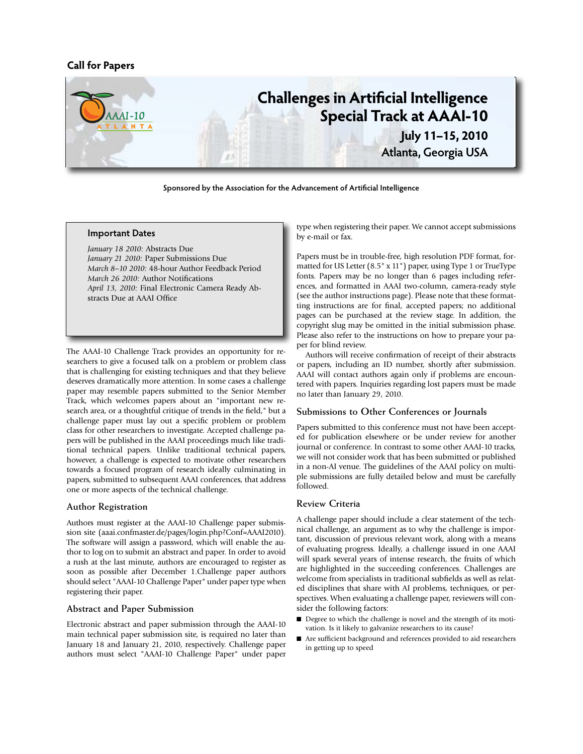## **Call for Papers**



**Sponsored by the Association for the Advancement of Artificial Intelligence**

#### **Important Dates**

*January 18 2010:* Abstracts Due *January 21 2010:* Paper Submissions Due *March 8–10 2010:* 48-hour Author Feedback Period *March 26 2010:* Author Notifications *April 13, 2010:* Final Electronic Camera Ready Abstracts Due at AAAI Office

The AAAI-10 Challenge Track provides an opportunity for researchers to give a focused talk on a problem or problem class that is challenging for existing techniques and that they believe deserves dramatically more attention. In some cases a challenge paper may resemble papers submitted to the Senior Member Track, which welcomes papers about an "important new research area, or a thoughtful critique of trends in the field," but a challenge paper must lay out a specific problem or problem class for other researchers to investigate. Accepted challenge papers will be published in the AAAI proceedings much like traditional technical papers. Unlike traditional technical papers, however, a challenge is expected to motivate other researchers towards a focused program of research ideally culminating in papers, submitted to subsequent AAAI conferences, that address one or more aspects of the technical challenge.

## **Author Registration**

Authors must register at the AAAI-10 Challenge paper submission site (aaai.confmaster.de/pages/login.php?Conf=AAAI2010). The software will assign a password, which will enable the author to log on to submit an abstract and paper. In order to avoid a rush at the last minute, authors are encouraged to register as soon as possible after December 1.Challenge paper authors should select "AAAI-10 Challenge Paper" under paper type when registering their paper.

## **Abstract and Paper Submission**

Electronic abstract and paper submission through the AAAI-10 main technical paper submission site, is required no later than January 18 and January 21, 2010, respectively. Challenge paper authors must select "AAAI-10 Challenge Paper" under paper

type when registering their paper. We cannot accept submissions by e-mail or fax.

Papers must be in trouble-free, high resolution PDF format, formatted for US Letter (8.5" x 11") paper, using Type 1 or TrueType fonts. Papers may be no longer than 6 pages including references, and formatted in AAAI two-column, camera-ready style (see the author instructions page). Please note that these formatting instructions are for final, accepted papers; no additional pages can be purchased at the review stage. In addition, the copyright slug may be omitted in the initial submission phase. Please also refer to the instructions on how to prepare your paper for blind review.

Authors will receive confirmation of receipt of their abstracts or papers, including an ID number, shortly after submission. AAAI will contact authors again only if problems are encountered with papers. Inquiries regarding lost papers must be made no later than January 29, 2010.

#### **Submissions to Other Conferences or Journals**

Papers submitted to this conference must not have been accepted for publication elsewhere or be under review for another journal or conference. In contrast to some other AAAI-10 tracks, we will not consider work that has been submitted or published in a non-AI venue. The guidelines of the AAAI policy on multiple submissions are fully detailed below and must be carefully followed.

#### **Review Criteria**

A challenge paper should include a clear statement of the technical challenge, an argument as to why the challenge is important, discussion of previous relevant work, along with a means of evaluating progress. Ideally, a challenge issued in one AAAI will spark several years of intense research, the fruits of which are highlighted in the succeeding conferences. Challenges are welcome from specialists in traditional subfields as well as related disciplines that share with AI problems, techniques, or perspectives. When evaluating a challenge paper, reviewers will consider the following factors:

- Degree to which the challenge is novel and the strength of its motivation. Is it likely to galvanize researchers to its cause?
- Are sufficient background and references provided to aid researchers in getting up to speed